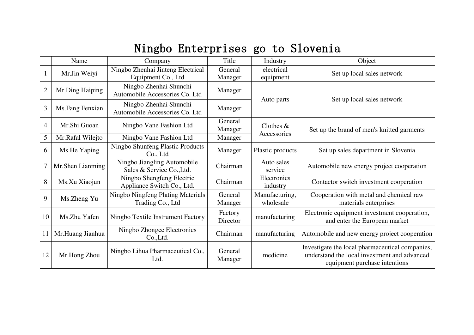| Ningbo Enterprises go to Slovenia |                  |                                                          |                     |                             |                                                                                                                                  |  |  |
|-----------------------------------|------------------|----------------------------------------------------------|---------------------|-----------------------------|----------------------------------------------------------------------------------------------------------------------------------|--|--|
|                                   | Name             | Company                                                  | Title               | Industry                    | Object                                                                                                                           |  |  |
|                                   | Mr.Jin Weiyi     | Ningbo Zhenhai Jinteng Electrical<br>Equipment Co., Ltd  | General<br>Manager  | electrical<br>equipment     | Set up local sales network                                                                                                       |  |  |
| $\overline{2}$                    | Mr.Ding Haiping  | Ningbo Zhenhai Shunchi<br>Automobile Accessories Co. Ltd | Manager             | Auto parts                  | Set up local sales network                                                                                                       |  |  |
| 3                                 | Ms.Fang Fenxian  | Ningbo Zhenhai Shunchi<br>Automobile Accessories Co. Ltd | Manager             |                             |                                                                                                                                  |  |  |
| $\overline{4}$                    | Mr.Shi Guoan     | Ningbo Vane Fashion Ltd                                  | General<br>Manager  | Clothes $&$<br>Accessories  | Set up the brand of men's knitted garments                                                                                       |  |  |
| 5                                 | Mr.Rafal Wilejto | Ningbo Vane Fashion Ltd                                  | Manager             |                             |                                                                                                                                  |  |  |
| 6                                 | Ms.He Yaping     | <b>Ningbo Shunfeng Plastic Products</b><br>Co., Ltd      | Manager             | Plastic products            | Set up sales department in Slovenia                                                                                              |  |  |
| 7                                 | Mr.Shen Lianming | Ningbo Jiangling Automobile<br>Sales & Service Co., Ltd. | Chairman            | Auto sales<br>service       | Automobile new energy project cooperation                                                                                        |  |  |
| 8                                 | Ms.Xu Xiaojun    | Ningbo Shengfeng Electric<br>Appliance Switch Co., Ltd.  | Chairman            | Electronics<br>industry     | Contactor switch investment cooperation                                                                                          |  |  |
| 9                                 | Ms.Zheng Yu      | Ningbo Ningfeng Plating Materials<br>Trading Co., Ltd    | General<br>Manager  | Manufacturing,<br>wholesale | Cooperation with metal and chemical raw<br>materials enterprises                                                                 |  |  |
| 10                                | Ms.Zhu Yafen     | Ningbo Textile Instrument Factory                        | Factory<br>Director | manufacturing               | Electronic equipment investment cooperation,<br>and enter the European market                                                    |  |  |
| 11                                | Mr.Huang Jianhua | Ningbo Zhongce Electronics<br>Co.,Ltd.                   | Chairman            | manufacturing               | Automobile and new energy project cooperation                                                                                    |  |  |
| 12                                | Mr.Hong Zhou     | Ningbo Lihua Pharmaceutical Co.,<br>Ltd.                 | General<br>Manager  | medicine                    | Investigate the local pharmaceutical companies,<br>understand the local investment and advanced<br>equipment purchase intentions |  |  |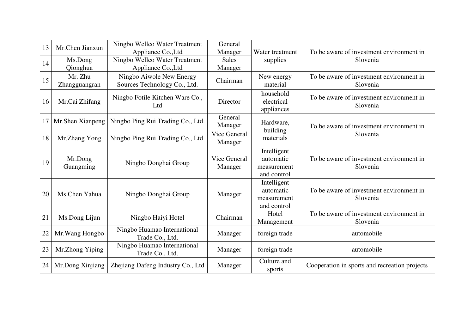| 13 | Mr.Chen Jianxun          | Ningbo Wellco Water Treatment<br>Appliance Co., Ltd      | General<br>Manager      | Water treatment                                        | To be aware of investment environment in             |
|----|--------------------------|----------------------------------------------------------|-------------------------|--------------------------------------------------------|------------------------------------------------------|
| 14 | Ms.Dong<br>Qionghua      | Ningbo Wellco Water Treatment<br>Appliance Co., Ltd      | <b>Sales</b><br>Manager | supplies                                               | Slovenia                                             |
| 15 | Mr. Zhu<br>Zhangguangran | Ningbo Aiwole New Energy<br>Sources Technology Co., Ltd. | Chairman                | New energy<br>material                                 | To be aware of investment environment in<br>Slovenia |
| 16 | Mr.Cai Zhifang           | Ningbo Fotile Kitchen Ware Co.,<br>Ltd                   | Director                | household<br>electrical<br>appliances                  | To be aware of investment environment in<br>Slovenia |
| 17 | Mr.Shen Xianpeng         | Ningbo Ping Rui Trading Co., Ltd.                        | General<br>Manager      | Hardware,<br>building<br>materials                     | To be aware of investment environment in<br>Slovenia |
| 18 | Mr.Zhang Yong            | Ningbo Ping Rui Trading Co., Ltd.                        | Vice General<br>Manager |                                                        |                                                      |
| 19 | Mr.Dong<br>Guangming     | Ningbo Donghai Group                                     | Vice General<br>Manager | Intelligent<br>automatic<br>measurement<br>and control | To be aware of investment environment in<br>Slovenia |
| 20 | Ms.Chen Yahua            | Ningbo Donghai Group                                     | Manager                 | Intelligent<br>automatic<br>measurement<br>and control | To be aware of investment environment in<br>Slovenia |
| 21 | Ms.Dong Lijun            | Ningbo Haiyi Hotel                                       | Chairman                | Hotel<br>Management                                    | To be aware of investment environment in<br>Slovenia |
| 22 | Mr. Wang Hongbo          | Ningbo Huamao International<br>Trade Co., Ltd.           | Manager                 | foreign trade                                          | automobile                                           |
| 23 | Mr.Zhong Yiping          | Ningbo Huamao International<br>Trade Co., Ltd.           | Manager                 | foreign trade                                          | automobile                                           |
| 24 | Mr.Dong Xinjiang         | Zhejiang Dafeng Industry Co., Ltd                        | Manager                 | Culture and<br>sports                                  | Cooperation in sports and recreation projects        |